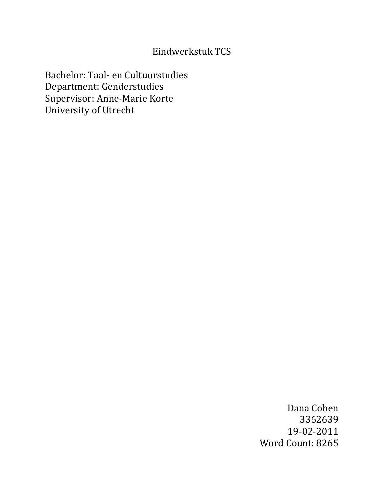# Eindwerkstuk TCS

Bachelor: Taal- en Cultuurstudies Department: Genderstudies Supervisor: Anne-Marie Korte University of Utrecht

> Dana Cohen 3362639 19-02-2011 Word Count: 8265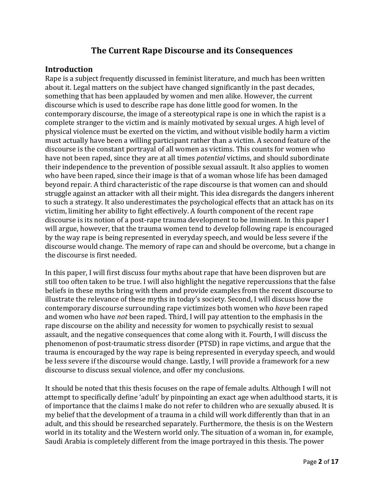# **The Current Rape Discourse and its Consequences**

#### **Introduction**

Rape is a subject frequently discussed in feminist literature, and much has been written about it. Legal matters on the subject have changed significantly in the past decades, something that has been applauded by women and men alike. However, the current discourse which is used to describe rape has done little good for women. In the contemporary discourse, the image of a stereotypical rape is one in which the rapist is a complete stranger to the victim and is mainly motivated by sexual urges. A high level of physical violence must be exerted on the victim, and without visible bodily harm a victim must actually have been a willing participant rather than a victim. A second feature of the discourse is the constant portrayal of all women as victims. This counts for women who have not been raped, since they are at all times *potential* victims, and should subordinate their independence to the prevention of possible sexual assault. It also applies to women who have been raped, since their image is that of a woman whose life has been damaged beyond repair. A third characteristic of the rape discourse is that women can and should struggle against an attacker with all their might. This idea disregards the dangers inherent to such a strategy. It also underestimates the psychological effects that an attack has on its victim, limiting her ability to fight effectively. A fourth component of the recent rape discourse is its notion of a post-rape trauma development to be imminent. In this paper I will argue, however, that the trauma women tend to develop following rape is encouraged by the way rape is being represented in everyday speech, and would be less severe if the discourse would change. The memory of rape can and should be overcome, but a change in the discourse is first needed.

In this paper, I will first discuss four myths about rape that have been disproven but are still too often taken to be true. I will also highlight the negative repercussions that the false beliefs in these myths bring with them and provide examples from the recent discourse to illustrate the relevance of these myths in today's society. Second, I will discuss how the contemporary discourse surrounding rape victimizes both women who *have* been raped and women who have *not* been raped. Third, I will pay attention to the emphasis in the rape discourse on the ability and necessity for women to psychically resist to sexual assault, and the negative consequences that come along with it. Fourth, I will discuss the phenomenon of post-traumatic stress disorder (PTSD) in rape victims, and argue that the trauma is encouraged by the way rape is being represented in everyday speech, and would be less severe if the discourse would change. Lastly, I will provide a framework for a new discourse to discuss sexual violence, and offer my conclusions.

It should be noted that this thesis focuses on the rape of female adults. Although I will not attempt to specifically define 'adult' by pinpointing an exact age when adulthood starts, it is of importance that the claims I make do not refer to children who are sexually abused. It is my belief that the development of a trauma in a child will work differently than that in an adult, and this should be researched separately. Furthermore, the thesis is on the Western world in its totality and the Western world only. The situation of a woman in, for example, Saudi Arabia is completely different from the image portrayed in this thesis. The power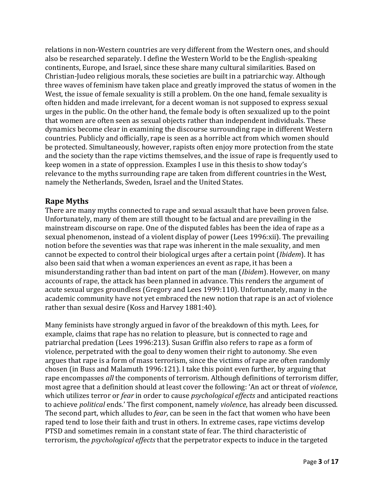relations in non-Western countries are very different from the Western ones, and should also be researched separately. I define the Western World to be the English-speaking continents, Europe, and Israel, since these share many cultural similarities. Based on Christian-Judeo religious morals, these societies are built in a patriarchic way. Although three waves of feminism have taken place and greatly improved the status of women in the West, the issue of female sexuality is still a problem. On the one hand, female sexuality is often hidden and made irrelevant, for a decent woman is not supposed to express sexual urges in the public. On the other hand, the female body is often sexualized up to the point that women are often seen as sexual objects rather than independent individuals. These dynamics become clear in examining the discourse surrounding rape in different Western countries. Publicly and officially, rape is seen as a horrible act from which women should be protected. Simultaneously, however, rapists often enjoy more protection from the state and the society than the rape victims themselves, and the issue of rape is frequently used to keep women in a state of oppression. Examples I use in this thesis to show today's relevance to the myths surrounding rape are taken from different countries in the West, namely the Netherlands, Sweden, Israel and the United States.

## **Rape Myths**

There are many myths connected to rape and sexual assault that have been proven false. Unfortunately, many of them are still thought to be factual and are prevailing in the mainstream discourse on rape. One of the disputed fables has been the idea of rape as a sexual phenomenon, instead of a violent display of power (Lees 1996:xii). The prevailing notion before the seventies was that rape was inherent in the male sexuality, and men cannot be expected to control their biological urges after a certain point (*Ibidem*). It has also been said that when a woman experiences an event as rape, it has been a misunderstanding rather than bad intent on part of the man (*Ibidem*). However, on many accounts of rape, the attack has been planned in advance. This renders the argument of acute sexual urges groundless (Gregory and Lees 1999:110). Unfortunately, many in the academic community have not yet embraced the new notion that rape is an act of violence rather than sexual desire (Koss and Harvey 1881:40).

Many feminists have strongly argued in favor of the breakdown of this myth. Lees, for example, claims that rape has no relation to pleasure, but is connected to rage and patriarchal predation (Lees 1996:213). Susan Griffin also refers to rape as a form of violence, perpetrated with the goal to deny women their right to autonomy. She even argues that rape is a form of mass terrorism, since the victims of rape are often randomly chosen (in Buss and Malamuth 1996:121). I take this point even further, by arguing that rape encompasses *all* the components of terrorism. Although definitions of terrorism differ, most agree that a definition should at least cover the following: 'An act or threat of *violence*, which utilizes terror or *fear* in order to cause *psychological effects* and anticipated reactions to achieve *political* ends.' The first component, namely *violence*, has already been discussed. The second part, which alludes to *fear*, can be seen in the fact that women who have been raped tend to lose their faith and trust in others. In extreme cases, rape victims develop PTSD and sometimes remain in a constant state of fear. The third characteristic of terrorism, the *psychological effects* that the perpetrator expects to induce in the targeted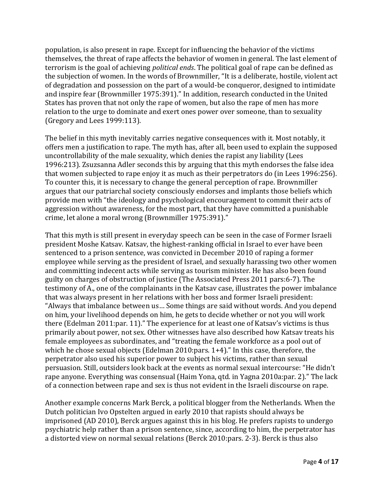population, is also present in rape. Except for influencing the behavior of the victims themselves, the threat of rape affects the behavior of women in general. The last element of terrorism is the goal of achieving *political ends*. The political goal of rape can be defined as the subjection of women. In the words of Brownmiller, "It is a deliberate, hostile, violent act of degradation and possession on the part of a would-be conqueror, designed to intimidate and inspire fear (Brownmiller 1975:391)." In addition, research conducted in the United States has proven that not only the rape of women, but also the rape of men has more relation to the urge to dominate and exert ones power over someone, than to sexuality (Gregory and Lees 1999:113).

The belief in this myth inevitably carries negative consequences with it. Most notably, it offers men a justification to rape. The myth has, after all, been used to explain the supposed uncontrollability of the male sexuality, which denies the rapist any liability (Lees 1996:213). Zsuzsanna Adler seconds this by arguing that this myth endorses the false idea that women subjected to rape enjoy it as much as their perpetrators do (in Lees 1996:256). To counter this, it is necessary to change the general perception of rape. Brownmiller argues that our patriarchal society consciously endorses and implants those beliefs which provide men with "the ideology and psychological encouragement to commit their acts of aggression without awareness, for the most part, that they have committed a punishable crime, let alone a moral wrong (Brownmiller 1975:391)."

That this myth is still present in everyday speech can be seen in the case of Former Israeli president Moshe Katsav. Katsav, the highest-ranking official in Israel to ever have been sentenced to a prison sentence, was convicted in December 2010 of raping a former employee while serving as the president of Israel, and sexually harassing two other women and committing indecent acts while serving as tourism minister. He has also been found guilty on charges of obstruction of justice (The Associated Press 2011 pars:6-7). The testimony of A., one of the complainants in the Katsav case, illustrates the power imbalance that was always present in her relations with her boss and former Israeli president: "Always that imbalance between us… Some things are said without words. And you depend on him, your livelihood depends on him, he gets to decide whether or not you will work there (Edelman 2011:par. 11)." The experience for at least one of Katsav's victims is thus primarily about power, not sex. Other witnesses have also described how Katsav treats his female employees as subordinates, and "treating the female workforce as a pool out of which he chose sexual objects (Edelman 2010:pars. 1+4)." In this case, therefore, the perpetrator also used his superior power to subject his victims, rather than sexual persuasion. Still, outsiders look back at the events as normal sexual intercourse: "He didn't rape anyone. Everything was consensual (Haim Yona, qtd. in Yagna 2010a:par. 2)." The lack of a connection between rape and sex is thus not evident in the Israeli discourse on rape.

Another example concerns Mark Berck, a political blogger from the Netherlands. When the Dutch politician Ivo Opstelten argued in early 2010 that rapists should always be imprisoned (AD 2010), Berck argues against this in his blog. He prefers rapists to undergo psychiatric help rather than a prison sentence, since, according to him, the perpetrator has a distorted view on normal sexual relations (Berck 2010:pars. 2-3). Berck is thus also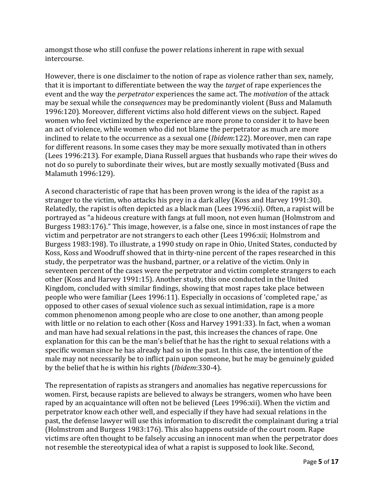amongst those who still confuse the power relations inherent in rape with sexual intercourse.

However, there is one disclaimer to the notion of rape as violence rather than sex, namely, that it is important to differentiate between the way the *target* of rape experiences the event and the way the *perpetrator* experiences the same act. The *motivation* of the attack may be sexual while the *consequences* may be predominantly violent (Buss and Malamuth 1996:120). Moreover, different victims also hold different views on the subject. Raped women who feel victimized by the experience are more prone to consider it to have been an act of violence, while women who did not blame the perpetrator as much are more inclined to relate to the occurrence as a sexual one (*Ibidem*:122). Moreover, men can rape for different reasons. In some cases they may be more sexually motivated than in others (Lees 1996:213). For example, Diana Russell argues that husbands who rape their wives do not do so purely to subordinate their wives, but are mostly sexually motivated (Buss and Malamuth 1996:129).

A second characteristic of rape that has been proven wrong is the idea of the rapist as a stranger to the victim, who attacks his prey in a dark alley (Koss and Harvey 1991:30). Relatedly, the rapist is often depicted as a black man (Lees 1996:xii). Often, a rapist will be portrayed as "a hideous creature with fangs at full moon, not even human (Holmstrom and Burgess 1983:176)." This image, however, is a false one, since in most instances of rape the victim and perpetrator are not strangers to each other (Lees 1996:xii; Holmstrom and Burgess 1983:198). To illustrate, a 1990 study on rape in Ohio, United States, conducted by Koss, Koss and Woodruff showed that in thirty-nine percent of the rapes researched in this study, the perpetrator was the husband, partner, or a relative of the victim. Only in seventeen percent of the cases were the perpetrator and victim complete strangers to each other (Koss and Harvey 1991:15). Another study, this one conducted in the United Kingdom, concluded with similar findings, showing that most rapes take place between people who were familiar (Lees 1996:11). Especially in occasions of 'completed rape,' as opposed to other cases of sexual violence such as sexual intimidation, rape is a more common phenomenon among people who are close to one another, than among people with little or no relation to each other (Koss and Harvey 1991:33). In fact, when a woman and man have had sexual relations in the past, this increases the chances of rape. One explanation for this can be the man's belief that he has the right to sexual relations with a specific woman since he has already had so in the past. In this case, the intention of the male may not necessarily be to inflict pain upon someone, but he may be genuinely guided by the belief that he is within his rights (*Ibidem*:330-4).

The representation of rapists as strangers and anomalies has negative repercussions for women. First, because rapists are believed to always be strangers, women who have been raped by an acquaintance will often not be believed (Lees 1996:xii). When the victim and perpetrator know each other well, and especially if they have had sexual relations in the past, the defense lawyer will use this information to discredit the complainant during a trial (Holmstrom and Burgess 1983:176). This also happens outside of the court room. Rape victims are often thought to be falsely accusing an innocent man when the perpetrator does not resemble the stereotypical idea of what a rapist is supposed to look like. Second,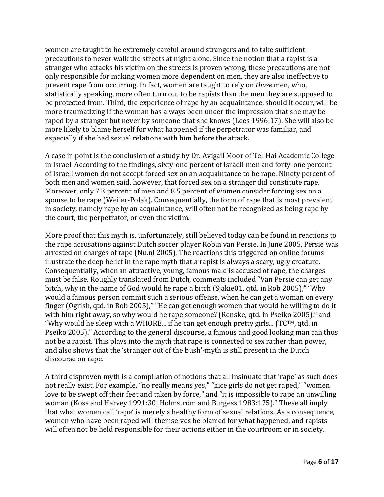women are taught to be extremely careful around strangers and to take sufficient precautions to never walk the streets at night alone. Since the notion that a rapist is a stranger who attacks his victim on the streets is proven wrong, these precautions are not only responsible for making women more dependent on men, they are also ineffective to prevent rape from occurring. In fact, women are taught to rely on *those* men, who, statistically speaking, more often turn out to be rapists than the men they are supposed to be protected from. Third, the experience of rape by an acquaintance, should it occur, will be more traumatizing if the woman has always been under the impression that she may be raped by a stranger but never by someone that she knows (Lees 1996:17). She will also be more likely to blame herself for what happened if the perpetrator was familiar, and especially if she had sexual relations with him before the attack.

A case in point is the conclusion of a study by Dr. Avigail Moor of Tel-Hai Academic College in Israel. According to the findings, sixty-one percent of Israeli men and forty-one percent of Israeli women do not accept forced sex on an acquaintance to be rape. Ninety percent of both men and women said, however, that forced sex on a stranger did constitute rape. Moreover, only 7.3 percent of men and 8.5 percent of women consider forcing sex on a spouse to be rape (Weiler-Polak). Consequentially, the form of rape that is most prevalent in society, namely rape by an acquaintance, will often not be recognized as being rape by the court, the perpetrator, or even the victim.

More proof that this myth is, unfortunately, still believed today can be found in reactions to the rape accusations against Dutch soccer player Robin van Persie. In June 2005, Persie was arrested on charges of rape (Nu.nl 2005). The reactions this triggered on online forums illustrate the deep belief in the rape myth that a rapist is always a scary, ugly creature. Consequentially, when an attractive, young, famous male is accused of rape, the charges must be false. Roughly translated from Dutch, comments included "Van Persie can get any bitch, why in the name of God would he rape a bitch (Sjakie01, qtd. in Rob 2005)," "Why would a famous person commit such a serious offense, when he can get a woman on every finger (Ogrish, qtd. in Rob 2005)," "He can get enough women that would be willing to do it with him right away, so why would he rape someone? (Renske, qtd. in Pseiko 2005)," and "Why would he sleep with a WHORE... if he can get enough pretty girls... (TCTM, qtd. in Pseiko 2005)." According to the general discourse, a famous and good looking man can thus not be a rapist. This plays into the myth that rape is connected to sex rather than power, and also shows that the 'stranger out of the bush'-myth is still present in the Dutch discourse on rape.

A third disproven myth is a compilation of notions that all insinuate that 'rape' as such does not really exist. For example, "no really means yes," "nice girls do not get raped," "women love to be swept off their feet and taken by force," and "it is impossible to rape an unwilling woman (Koss and Harvey 1991:30; Holmstrom and Burgess 1983:175)." These all imply that what women call 'rape' is merely a healthy form of sexual relations. As a consequence, women who have been raped will themselves be blamed for what happened, and rapists will often not be held responsible for their actions either in the courtroom or in society.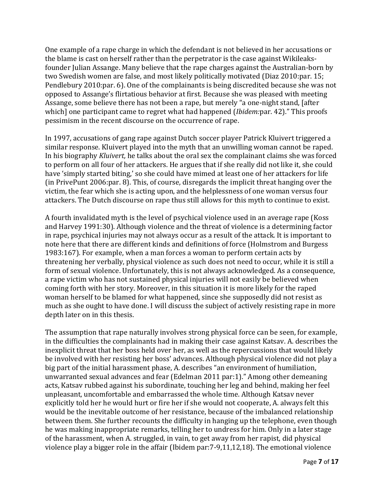One example of a rape charge in which the defendant is not believed in her accusations or the blame is cast on herself rather than the perpetrator is the case against Wikileaksfounder Julian Assange. Many believe that the rape charges against the Australian-born by two Swedish women are false, and most likely politically motivated (Diaz 2010:par. 15; Pendlebury 2010:par. 6). One of the complainants is being discredited because she was not opposed to Assange's flirtatious behavior at first. Because she was pleased with meeting Assange, some believe there has not been a rape, but merely "a one-night stand, [after which] one participant came to regret what had happened (*Ibidem:*par. 42)." This proofs pessimism in the recent discourse on the occurrence of rape.

In 1997, accusations of gang rape against Dutch soccer player Patrick Kluivert triggered a similar response. Kluivert played into the myth that an unwilling woman cannot be raped. In his biography *Kluivert,* he talks about the oral sex the complainant claims she was forced to perform on all four of her attackers. He argues that if she really did not like it, she could have 'simply started biting,' so she could have mimed at least one of her attackers for life (in PrivePunt 2006:par. 8). This, of course, disregards the implicit threat hanging over the victim, the fear which she is acting upon, and the helplessness of one woman versus four attackers. The Dutch discourse on rape thus still allows for this myth to continue to exist.

A fourth invalidated myth is the level of psychical violence used in an average rape (Koss and Harvey 1991:30). Although violence and the threat of violence is a determining factor in rape, psychical injuries may not always occur as a result of the attack. It is important to note here that there are different kinds and definitions of force (Holmstrom and Burgess 1983:167). For example, when a man forces a woman to perform certain acts by threatening her verbally, physical violence as such does not need to occur, while it is still a form of sexual violence. Unfortunately, this is not always acknowledged. As a consequence, a rape victim who has not sustained physical injuries will not easily be believed when coming forth with her story. Moreover, in this situation it is more likely for the raped woman herself to be blamed for what happened, since she supposedly did not resist as much as she ought to have done. I will discuss the subject of actively resisting rape in more depth later on in this thesis.

The assumption that rape naturally involves strong physical force can be seen, for example, in the difficulties the complainants had in making their case against Katsav. A. describes the inexplicit threat that her boss held over her, as well as the repercussions that would likely be involved with her resisting her boss' advances. Although physical violence did not play a big part of the initial harassment phase, A. describes "an environment of humiliation, unwarranted sexual advances and fear (Edelman 2011 par:1)." Among other demeaning acts, Katsav rubbed against his subordinate, touching her leg and behind, making her feel unpleasant, uncomfortable and embarrassed the whole time. Although Katsav never explicitly told her he would hurt or fire her if she would not cooperate, A. always felt this would be the inevitable outcome of her resistance, because of the imbalanced relationship between them. She further recounts the difficulty in hanging up the telephone, even though he was making inappropriate remarks, telling her to undress for him. Only in a later stage of the harassment, when A. struggled, in vain, to get away from her rapist, did physical violence play a bigger role in the affair (Ibidem par:7-9,11,12,18). The emotional violence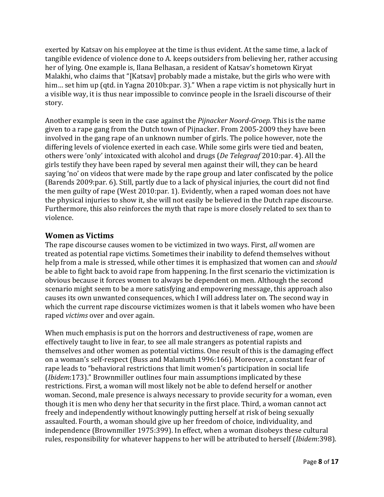exerted by Katsav on his employee at the time is thus evident. At the same time, a lack of tangible evidence of violence done to A. keeps outsiders from believing her, rather accusing her of lying. One example is, Ilana Belhasan, a resident of Katsav's hometown Kiryat Malakhi, who claims that "[Katsav] probably made a mistake, but the girls who were with him... set him up (qtd. in Yagna 2010b:par. 3)." When a rape victim is not physically hurt in a visible way, it is thus near impossible to convince people in the Israeli discourse of their story.

Another example is seen in the case against the *Pijnacker Noord-Groep.* This is the name given to a rape gang from the Dutch town of Pijnacker. From 2005-2009 they have been involved in the gang rape of an unknown number of girls. The police however, note the differing levels of violence exerted in each case. While some girls were tied and beaten, others were 'only' intoxicated with alcohol and drugs (*De Telegraaf* 2010:par. 4). All the girls testify they have been raped by several men against their will, they can be heard saying 'no' on videos that were made by the rape group and later confiscated by the police (Barends 2009:par. 6). Still, partly due to a lack of physical injuries, the court did not find the men guilty of rape (West 2010:par. 1). Evidently, when a raped woman does not have the physical injuries to show it, she will not easily be believed in the Dutch rape discourse. Furthermore, this also reinforces the myth that rape is more closely related to sex than to violence.

# **Women as Victims**

The rape discourse causes women to be victimized in two ways. First, *all* women are treated as potential rape victims. Sometimes their inability to defend themselves without help from a male is stressed, while other times it is emphasized that women can and *should* be able to fight back to avoid rape from happening. In the first scenario the victimization is obvious because it forces women to always be dependent on men. Although the second scenario might seem to be a more satisfying and empowering message, this approach also causes its own unwanted consequences, which I will address later on. The second way in which the current rape discourse victimizes women is that it labels women who have been raped *victims* over and over again.

When much emphasis is put on the horrors and destructiveness of rape, women are effectively taught to live in fear, to see all male strangers as potential rapists and themselves and other women as potential victims. One result of this is the damaging effect on a woman's self-respect (Buss and Malamuth 1996:166). Moreover, a constant fear of rape leads to "behavioral restrictions that limit women's participation in social life (*Ibidem*:173)." Brownmiller outlines four main assumptions implicated by these restrictions. First, a woman will most likely not be able to defend herself or another woman. Second, male presence is always necessary to provide security for a woman, even though it is men who deny her that security in the first place. Third, a woman cannot act freely and independently without knowingly putting herself at risk of being sexually assaulted. Fourth, a woman should give up her freedom of choice, individuality, and independence (Brownmiller 1975:399). In effect, when a woman disobeys these cultural rules, responsibility for whatever happens to her will be attributed to herself (*Ibidem*:398).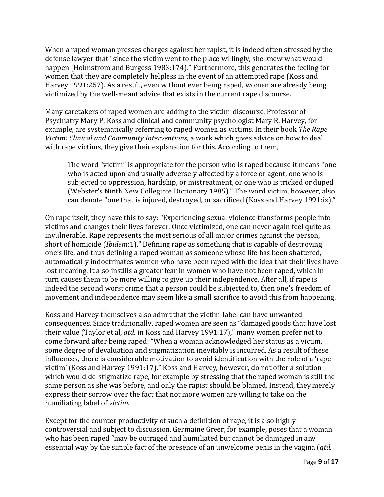When a raped woman presses charges against her rapist, it is indeed often stressed by the defense lawyer that "since the victim went to the place willingly, she knew what would happen (Holmstrom and Burgess 1983:174)." Furthermore, this generates the feeling for women that they are completely helpless in the event of an attempted rape (Koss and Harvey 1991:257). As a result, even without ever being raped, women are already being victimized by the well-meant advice that exists in the current rape discourse.

Many caretakers of raped women are adding to the victim-discourse. Professor of Psychiatry Mary P. Koss and clinical and community psychologist Mary R. Harvey, for example, are systematically referring to raped women as victims. In their book *The Rape Victim: Clinical and Community Interventions*, a work which gives advice on how to deal with rape victims, they give their explanation for this. According to them,

The word "victim" is appropriate for the person who is raped because it means "one who is acted upon and usually adversely affected by a force or agent, one who is subjected to oppression, hardship, or mistreatment, or one who is tricked or duped (Webster's Ninth New Collegiate Dictionary 1985)." The word victim, however, also can denote "one that is injured, destroyed, or sacrificed (Koss and Harvey 1991:ix)."

On rape itself, they have this to say: "Experiencing sexual violence transforms people into victims and changes their lives forever. Once victimized, one can never again feel quite as invulnerable. Rape represents the most serious of all major crimes against the person, short of homicide (*Ibidem*:1)." Defining rape as something that is capable of destroying one's life, and thus defining a raped woman as someone whose life has been shattered, automatically indoctrinates women who have been raped with the idea that their lives have lost meaning. It also instills a greater fear in women who have not been raped, which in turn causes them to be more willing to give up their independence. After all, if rape is indeed the second worst crime that a person could be subjected to, then one's freedom of movement and independence may seem like a small sacrifice to avoid this from happening.

Koss and Harvey themselves also admit that the victim-label can have unwanted consequences. Since traditionally, raped women are seen as "damaged goods that have lost their value (Taylor et al, *qtd.* in Koss and Harvey 1991:17)," many women prefer not to come forward after being raped: "When a woman acknowledged her status as a victim, some degree of devaluation and stigmatization inevitably is incurred. As a result of these influences, there is considerable motivation to avoid identification with the role of a 'rape victim' (Koss and Harvey 1991:17)." Koss and Harvey, however, do not offer a solution which would de-stigmatize rape, for example by stressing that the raped woman is still the same person as she was before, and only the rapist should be blamed. Instead, they merely express their sorrow over the fact that not more women are willing to take on the humiliating label of *victim*.

Except for the counter productivity of such a definition of rape, it is also highly controversial and subject to discussion. Germaine Greer, for example, poses that a woman who has been raped "may be outraged and humiliated but cannot be damaged in any essential way by the simple fact of the presence of an unwelcome penis in the vagina (*qtd.*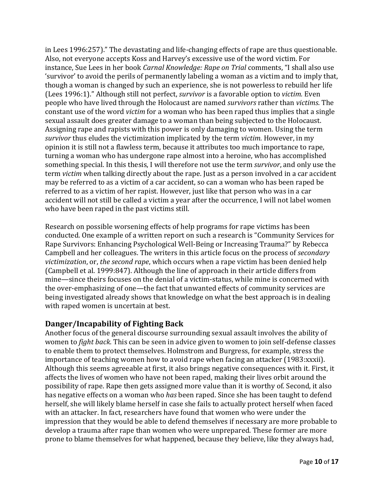in Lees 1996:257)." The devastating and life-changing effects of rape are thus questionable. Also, not everyone accepts Koss and Harvey's excessive use of the word victim. For instance, Sue Lees in her book *Carnal Knowledge: Rape on Trial* comments, "I shall also use 'survivor' to avoid the perils of permanently labeling a woman as a victim and to imply that, though a woman is changed by such an experience, she is not powerless to rebuild her life (Lees 1996:1)." Although still not perfect, *survivor* is a favorable option to *victim.* Even people who have lived through the Holocaust are named *survivors* rather than *victims*. The constant use of the word *victim* for a woman who has been raped thus implies that a single sexual assault does greater damage to a woman than being subjected to the Holocaust. Assigning rape and rapists with this power is only damaging to women. Using the term *survivor* thus eludes the victimization implicated by the term *victim.* However, in my opinion it is still not a flawless term, because it attributes too much importance to rape, turning a woman who has undergone rape almost into a heroine, who has accomplished something special. In this thesis, I will therefore not use the term *survivor*, and only use the term *victim* when talking directly about the rape. Just as a person involved in a car accident may be referred to as a victim of a car accident, so can a woman who has been raped be referred to as a victim of her rapist. However, just like that person who was in a car accident will not still be called a victim a year after the occurrence, I will not label women who have been raped in the past victims still.

Research on possible worsening effects of help programs for rape victims has been conducted. One example of a written report on such a research is "Community Services for Rape Survivors: Enhancing Psychological Well-Being or Increasing Trauma?" by Rebecca Campbell and her colleagues. The writers in this article focus on the process of *secondary victimization*, or, *the second rape*, which occurs when a rape victim has been denied help (Campbell et al. 1999:847). Although the line of approach in their article differs from mine—since theirs focuses on the denial of a victim-status, while mine is concerned with the over-emphasizing of one—the fact that unwanted effects of community services are being investigated already shows that knowledge on what the best approach is in dealing with raped women is uncertain at best.

# **Danger/Incapability of Fighting Back**

Another focus of the general discourse surrounding sexual assault involves the ability of women to *fight back*. This can be seen in advice given to women to join self-defense classes to enable them to protect themselves. Holmstrom and Burgress, for example, stress the importance of teaching women how to avoid rape when facing an attacker (1983:xxxii). Although this seems agreeable at first, it also brings negative consequences with it. First, it affects the lives of women who have not been raped, making their lives orbit around the possibility of rape. Rape then gets assigned more value than it is worthy of. Second, it also has negative effects on a woman who *has* been raped. Since she has been taught to defend herself, she will likely blame herself in case she fails to actually protect herself when faced with an attacker. In fact, researchers have found that women who were under the impression that they would be able to defend themselves if necessary are more probable to develop a trauma after rape than women who were unprepared. These former are more prone to blame themselves for what happened, because they believe, like they always had,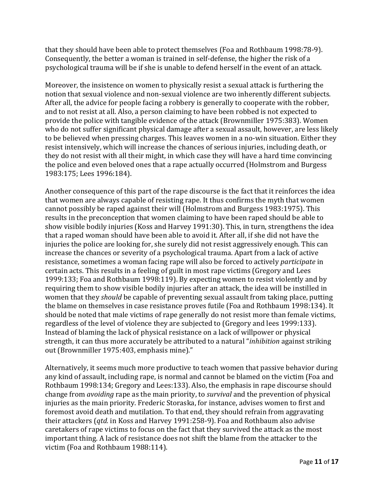that they should have been able to protect themselves (Foa and Rothbaum 1998:78-9). Consequently, the better a woman is trained in self-defense, the higher the risk of a psychological trauma will be if she is unable to defend herself in the event of an attack.

Moreover, the insistence on women to physically resist a sexual attack is furthering the notion that sexual violence and non-sexual violence are two inherently different subjects. After all, the advice for people facing a robbery is generally to cooperate with the robber, and to not resist at all. Also, a person claiming to have been robbed is not expected to provide the police with tangible evidence of the attack (Brownmiller 1975:383). Women who do not suffer significant physical damage after a sexual assault, however, are less likely to be believed when pressing charges. This leaves women in a no-win situation. Either they resist intensively, which will increase the chances of serious injuries, including death, or they do not resist with all their might, in which case they will have a hard time convincing the police and even beloved ones that a rape actually occurred (Holmstrom and Burgess 1983:175; Lees 1996:184).

Another consequence of this part of the rape discourse is the fact that it reinforces the idea that women are always capable of resisting rape. It thus confirms the myth that women cannot possibly be raped against their will (Holmstrom and Burgess 1983:1975). This results in the preconception that women claiming to have been raped should be able to show visible bodily injuries (Koss and Harvey 1991:30). This, in turn, strengthens the idea that a raped woman should have been able to avoid it. After all, if she did not have the injuries the police are looking for, she surely did not resist aggressively enough. This can increase the chances or severity of a psychological trauma. Apart from a lack of active resistance, sometimes a woman facing rape will also be forced to actively *participate* in certain acts. This results in a feeling of guilt in most rape victims (Gregory and Lees 1999:133; Foa and Rothbaum 1998:119). By expecting women to resist violently and by requiring them to show visible bodily injuries after an attack, the idea will be instilled in women that they *should* be capable of preventing sexual assault from taking place, putting the blame on themselves in case resistance proves futile (Foa and Rothbaum 1998:134). It should be noted that male victims of rape generally do not resist more than female victims, regardless of the level of violence they are subjected to (Gregory and lees 1999:133). Instead of blaming the lack of physical resistance on a lack of willpower or physical strength, it can thus more accurately be attributed to a natural "*inhibition* against striking out (Brownmiller 1975:403, emphasis mine)."

Alternatively, it seems much more productive to teach women that passive behavior during any kind of assault, including rape, is normal and cannot be blamed on the victim (Foa and Rothbaum 1998:134; Gregory and Lees:133). Also, the emphasis in rape discourse should change from *avoiding* rape as the main priority, to *survival* and the prevention of physical injuries as the main priority. Frederic Storaska, for instance, advises women to first and foremost avoid death and mutilation. To that end, they should refrain from aggravating their attackers (*qtd.* in Koss and Harvey 1991:258-9). Foa and Rothbaum also advise caretakers of rape victims to focus on the fact that they survived the attack as the most important thing. A lack of resistance does not shift the blame from the attacker to the victim (Foa and Rothbaum 1988:114).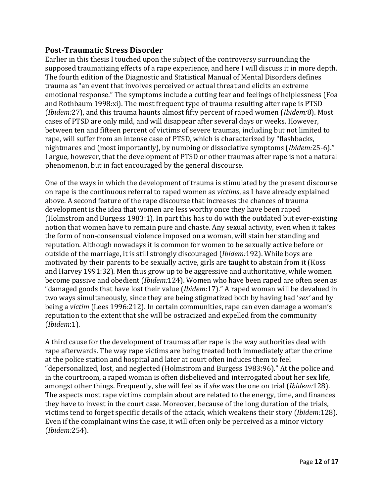## **Post-Traumatic Stress Disorder**

Earlier in this thesis I touched upon the subject of the controversy surrounding the supposed traumatizing effects of a rape experience, and here I will discuss it in more depth. The fourth edition of the Diagnostic and Statistical Manual of Mental Disorders defines trauma as "an event that involves perceived or actual threat and elicits an extreme emotional response." The symptoms include a cutting fear and feelings of helplessness (Foa and Rothbaum 1998:xi). The most frequent type of trauma resulting after rape is PTSD (*Ibidem:*27), and this trauma haunts almost fifty percent of raped women (*Ibidem:*8). Most cases of PTSD are only mild, and will disappear after several days or weeks. However, between ten and fifteen percent of victims of severe traumas, including but not limited to rape, will suffer from an intense case of PTSD, which is characterized by "flashbacks, nightmares and (most importantly), by numbing or dissociative symptoms (*Ibidem:*25-6)." I argue, however, that the development of PTSD or other traumas after rape is not a natural phenomenon, but in fact encouraged by the general discourse.

One of the ways in which the development of trauma is stimulated by the present discourse on rape is the continuous referral to raped women as *victims*, as I have already explained above. A second feature of the rape discourse that increases the chances of trauma development is the idea that women are less worthy once they have been raped (Holmstrom and Burgess 1983:1). In part this has to do with the outdated but ever-existing notion that women have to remain pure and chaste. Any sexual activity, even when it takes the form of non-consensual violence imposed on a woman, will stain her standing and reputation. Although nowadays it is common for women to be sexually active before or outside of the marriage, it is still strongly discouraged (*Ibidem:*192). While boys are motivated by their parents to be sexually active, girls are taught to abstain from it (Koss and Harvey 1991:32). Men thus grow up to be aggressive and authoritative, while women become passive and obedient (*Ibidem:*124). Women who have been raped are often seen as "damaged goods that have lost their value (*Ibidem*:17)." A raped woman will be devalued in two ways simultaneously, since they are being stigmatized both by having had '*sex'* and by being a *victim* (Lees 1996:212). In certain communities, rape can even damage a woman's reputation to the extent that she will be ostracized and expelled from the community (*Ibidem*:1).

A third cause for the development of traumas after rape is the way authorities deal with rape afterwards. The way rape victims are being treated both immediately after the crime at the police station and hospital and later at court often induces them to feel "depersonalized, lost, and neglected (Holmstrom and Burgess 1983:96)." At the police and in the courtroom, a raped woman is often disbelieved and interrogated about her sex life, amongst other things. Frequently, she will feel as if *she* was the one on trial (*Ibidem:*128). The aspects most rape victims complain about are related to the energy, time, and finances they have to invest in the court case. Moreover, because of the long duration of the trials, victims tend to forget specific details of the attack, which weakens their story (*Ibidem:*128). Even if the complainant wins the case, it will often only be perceived as a minor victory (*Ibidem:*254).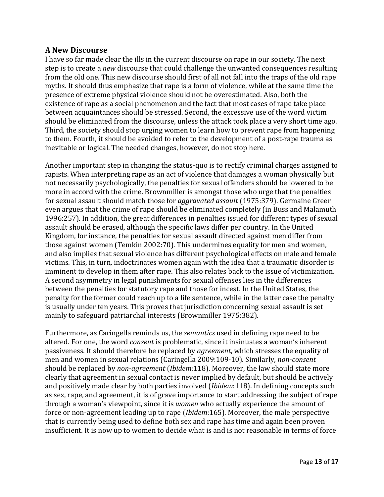#### **A New Discourse**

I have so far made clear the ills in the current discourse on rape in our society. The next step is to create a *new* discourse that could challenge the unwanted consequences resulting from the old one. This new discourse should first of all not fall into the traps of the old rape myths. It should thus emphasize that rape is a form of violence, while at the same time the presence of extreme physical violence should not be overestimated. Also, both the existence of rape as a social phenomenon and the fact that most cases of rape take place between acquaintances should be stressed. Second, the excessive use of the word victim should be eliminated from the discourse, unless the attack took place a very short time ago. Third, the society should stop urging women to learn how to prevent rape from happening to them. Fourth, it should be avoided to refer to the development of a post-rape trauma as inevitable or logical. The needed changes, however, do not stop here.

Another important step in changing the status-quo is to rectify criminal charges assigned to rapists. When interpreting rape as an act of violence that damages a woman physically but not necessarily psychologically, the penalties for sexual offenders should be lowered to be more in accord with the crime. Brownmiller is amongst those who urge that the penalties for sexual assault should match those for *aggravated assault* (1975:379). Germaine Greer even argues that the crime of rape should be eliminated completely (in Buss and Malamuth 1996:257). In addition, the great differences in penalties issued for different types of sexual assault should be erased, although the specific laws differ per country. In the United Kingdom, for instance, the penalties for sexual assault directed against men differ from those against women (Temkin 2002:70). This undermines equality for men and women, and also implies that sexual violence has different psychological effects on male and female victims. This, in turn, indoctrinates women again with the idea that a traumatic disorder is imminent to develop in them after rape. This also relates back to the issue of victimization. A second asymmetry in legal punishments for sexual offenses lies in the differences between the penalties for statutory rape and those for incest. In the United States, the penalty for the former could reach up to a life sentence, while in the latter case the penalty is usually under ten years. This proves that jurisdiction concerning sexual assault is set mainly to safeguard patriarchal interests (Brownmiller 1975:382).

Furthermore, as Caringella reminds us, the *semantics* used in defining rape need to be altered. For one, the word *consent* is problematic, since it insinuates a woman's inherent passiveness. It should therefore be replaced by *agreement*, which stresses the equality of men and women in sexual relations (Caringella 2009:109-10). Similarly, *non-consent* should be replaced by *non-agreement* (*Ibidem:*118). Moreover, the law should state more clearly that agreement in sexual contact is never implied by default, but should be actively and positively made clear by both parties involved (*Ibidem*:118). In defining concepts such as sex, rape, and agreement, it is of grave importance to start addressing the subject of rape through a woman's viewpoint, since it is *women* who actually experience the amount of force or non-agreement leading up to rape (*Ibidem*:165). Moreover, the male perspective that is currently being used to define both sex and rape has time and again been proven insufficient. It is now up to women to decide what is and is not reasonable in terms of force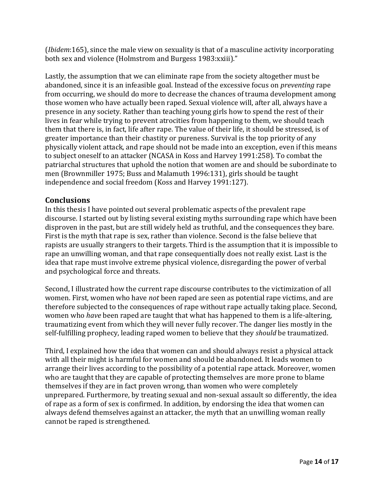(*Ibidem*:165), since the male view on sexuality is that of a masculine activity incorporating both sex and violence (Holmstrom and Burgess 1983:xxiii)."

Lastly, the assumption that we can eliminate rape from the society altogether must be abandoned, since it is an infeasible goal. Instead of the excessive focus on *preventing* rape from occurring, we should do more to decrease the chances of trauma development among those women who have actually been raped. Sexual violence will, after all, always have a presence in any society. Rather than teaching young girls how to spend the rest of their lives in fear while trying to prevent atrocities from happening to them, we should teach them that there is, in fact, life after rape. The value of their life, it should be stressed, is of greater importance than their chastity or pureness. Survival is the top priority of any physically violent attack, and rape should not be made into an exception, even if this means to subject oneself to an attacker (NCASA in Koss and Harvey 1991:258). To combat the patriarchal structures that uphold the notion that women are and should be subordinate to men (Brownmiller 1975; Buss and Malamuth 1996:131), girls should be taught independence and social freedom (Koss and Harvey 1991:127).

# **Conclusions**

In this thesis I have pointed out several problematic aspects of the prevalent rape discourse. I started out by listing several existing myths surrounding rape which have been disproven in the past, but are still widely held as truthful, and the consequences they bare. First is the myth that rape is sex, rather than violence. Second is the false believe that rapists are usually strangers to their targets. Third is the assumption that it is impossible to rape an unwilling woman, and that rape consequentially does not really exist. Last is the idea that rape must involve extreme physical violence, disregarding the power of verbal and psychological force and threats.

Second, I illustrated how the current rape discourse contributes to the victimization of all women. First, women who have *not* been raped are seen as potential rape victims, and are therefore subjected to the consequences of rape without rape actually taking place. Second, women who *have* been raped are taught that what has happened to them is a life-altering, traumatizing event from which they will never fully recover. The danger lies mostly in the self-fulfilling prophecy, leading raped women to believe that they *should* be traumatized.

Third, I explained how the idea that women can and should always resist a physical attack with all their might is harmful for women and should be abandoned. It leads women to arrange their lives according to the possibility of a potential rape attack. Moreover, women who are taught that they are capable of protecting themselves are more prone to blame themselves if they are in fact proven wrong, than women who were completely unprepared. Furthermore, by treating sexual and non-sexual assault so differently, the idea of rape as a form of sex is confirmed. In addition, by endorsing the idea that women can always defend themselves against an attacker, the myth that an unwilling woman really cannot be raped is strengthened.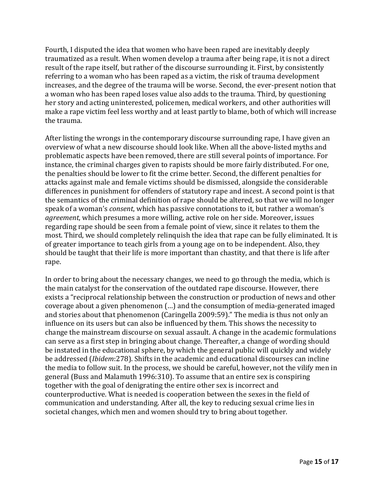Fourth, I disputed the idea that women who have been raped are inevitably deeply traumatized as a result. When women develop a trauma after being rape, it is not a direct result of the rape itself, but rather of the discourse surrounding it. First, by consistently referring to a woman who has been raped as a victim, the risk of trauma development increases, and the degree of the trauma will be worse. Second, the ever-present notion that a woman who has been raped loses value also adds to the trauma. Third, by questioning her story and acting uninterested, policemen, medical workers, and other authorities will make a rape victim feel less worthy and at least partly to blame, both of which will increase the trauma.

After listing the wrongs in the contemporary discourse surrounding rape, I have given an overview of what a new discourse should look like. When all the above-listed myths and problematic aspects have been removed, there are still several points of importance. For instance, the criminal charges given to rapists should be more fairly distributed. For one, the penalties should be lower to fit the crime better. Second, the different penalties for attacks against male and female victims should be dismissed, alongside the considerable differences in punishment for offenders of statutory rape and incest. A second point is that the semantics of the criminal definition of rape should be altered, so that we will no longer speak of a woman's *consent*, which has passive connotations to it, but rather a woman's *agreement*, which presumes a more willing, active role on her side. Moreover, issues regarding rape should be seen from a female point of view, since it relates to them the most. Third, we should completely relinquish the idea that rape can be fully eliminated. It is of greater importance to teach girls from a young age on to be independent. Also, they should be taught that their life is more important than chastity, and that there is life after rape.

In order to bring about the necessary changes, we need to go through the media, which is the main catalyst for the conservation of the outdated rape discourse. However, there exists a "reciprocal relationship between the construction or production of news and other coverage about a given phenomenon (…) and the consumption of media-generated imaged and stories about that phenomenon (Caringella 2009:59)." The media is thus not only an influence on its users but can also be influenced by them. This shows the necessity to change the mainstream discourse on sexual assault. A change in the academic formulations can serve as a first step in bringing about change. Thereafter, a change of wording should be instated in the educational sphere, by which the general public will quickly and widely be addressed (*Ibidem*:278). Shifts in the academic and educational discourses can incline the media to follow suit. In the process, we should be careful, however, not the vilify men in general (Buss and Malamuth 1996:310). To assume that an entire sex is conspiring together with the goal of denigrating the entire other sex is incorrect and counterproductive. What is needed is cooperation between the sexes in the field of communication and understanding. After all, the key to reducing sexual crime lies in societal changes, which men and women should try to bring about together.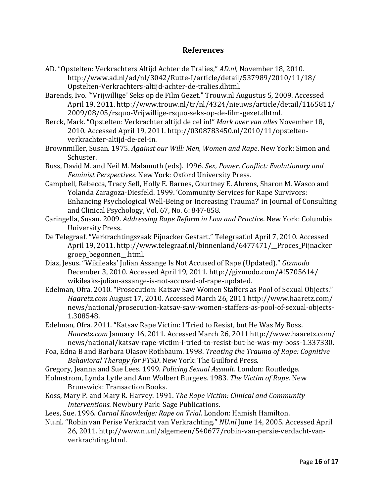## **References**

- AD. "Opstelten: Verkrachters Altijd Achter de Tralies," *AD.nl*, November 18, 2010. http://www.ad.nl/ad/nl/3042/Rutte-I/article/detail/537989/2010/11/18/ Opstelten-Verkrachters-altijd-achter-de-tralies.dhtml.
- Barends, Ivo. "'Vrijwillige' Seks op de Film Gezet." Trouw.nl Augustus 5, 2009. Accessed April 19, 2011. http://www.trouw.nl/tr/nl/4324/nieuws/article/detail/1165811/ 2009/08/05/rsquo-Vrijwillige-rsquo-seks-op-de-film-gezet.dhtml.
- Berck, Mark. "Opstelten: Verkrachter altijd de cel in!" *Mark over van alles* November 18, 2010. Accessed April 19, 2011. http://0308783450.nl/2010/11/opsteltenverkrachter-altijd-de-cel-in.
- Brownmiller, Susan. 1975. *Against our Will: Men, Women and Rape*. New York: Simon and Schuster.
- Buss, David M. and Neil M. Malamuth (eds). 1996. *Sex, Power, Conflict: Evolutionary and Feminist Perspectives*. New York: Oxford University Press.
- Campbell, Rebecca, Tracy Sefl, Holly E. Barnes, Courtney E. Ahrens, Sharon M. Wasco and Yolanda Zaragoza-Diesfeld. 1999. 'Community Services for Rape Survivors: Enhancing Psychological Well-Being or Increasing Trauma?' in Journal of Consulting and Clinical Psychology, Vol. 67, No. 6: 847-858.
- Caringella, Susan. 2009. *Addressing Rape Reform in Law and Practice*. New York: Columbia University Press.
- De Telegraaf. "Verkrachtingszaak Pijnacker Gestart." Telegraaf.nl April 7, 2010. Accessed April 19, 2011. http://www.telegraaf.nl/binnenland/6477471/\_\_Proces\_Pijnacker groep\_begonnen\_\_.html.
- Diaz, Jesus. "Wikileaks' Julian Assange Is Not Accused of Rape (Updated)." *Gizmodo* December 3, 2010. Accessed April 19, 2011. http://gizmodo.com/#!5705614/ wikileaks-julian-assange-is-not-accused-of-rape-updated.
- Edelman, Ofra. 2010. "Prosecution: Katsav Saw Women Staffers as Pool of Sexual Objects." *Haaretz*.*com* August 17, 2010. Accessed March 26, 2011 http://www.haaretz.com/ news/national/prosecution-katsav-saw-women-staffers-as-pool-of-sexual-objects-1.308548.
- Edelman, Ofra. 2011. "Katsav Rape Victim: I Tried to Resist, but He Was My Boss. *Haaretz*.*com* January 16, 2011. Accessed March 26, 2011 http://www.haaretz.com/ news/national/katsav-rape-victim-i-tried-to-resist-but-he-was-my-boss-1.337330.
- Foa, Edna B and Barbara Olasov Rothbaum. 1998. *Treating the Trauma of Rape: Cognitive Behavioral Therapy for PTSD*. New York: The Guilford Press.
- Gregory, Jeanna and Sue Lees. 1999. *Policing Sexual Assault*. London: Routledge.
- Holmstrom, Lynda Lytle and Ann Wolbert Burgees. 1983. *The Victim of Rape*. New Brunswick: Transaction Books.
- Koss, Mary P. and Mary R. Harvey. 1991. *The Rape Victim: Clinical and Community Interventions*. Newbury Park: Sage Publications.
- Lees, Sue. 1996. *Carnal Knowledge: Rape on Trial*. London: Hamish Hamilton.
- Nu.nl. "Robin van Perise Verkracht van Verkrachting." *NU.nl* June 14, 2005. Accessed April 26, 2011. http://www.nu.nl/algemeen/540677/robin-van-persie-verdacht-vanverkrachting.html.